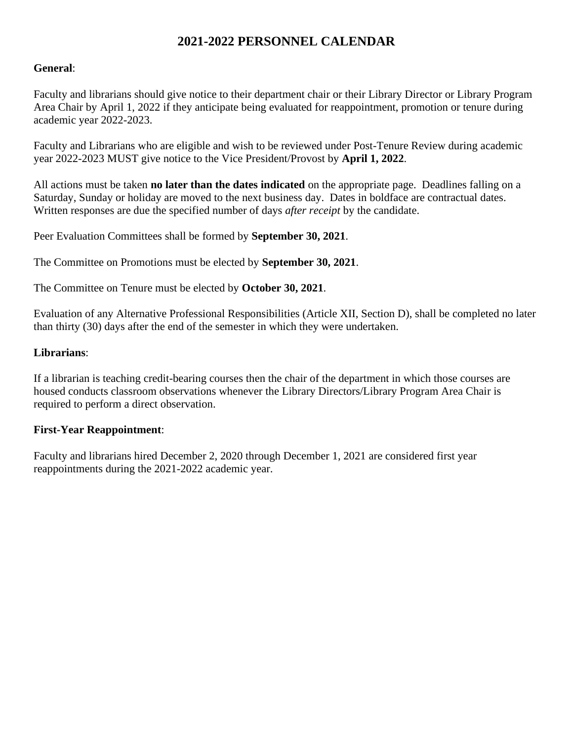#### **General**:

Faculty and librarians should give notice to their department chair or their Library Director or Library Program Area Chair by April 1, 2022 if they anticipate being evaluated for reappointment, promotion or tenure during academic year 2022-2023.

Faculty and Librarians who are eligible and wish to be reviewed under Post-Tenure Review during academic year 2022-2023 MUST give notice to the Vice President/Provost by **April 1, 2022**.

All actions must be taken **no later than the dates indicated** on the appropriate page. Deadlines falling on a Saturday, Sunday or holiday are moved to the next business day. Dates in boldface are contractual dates. Written responses are due the specified number of days *after receipt* by the candidate.

Peer Evaluation Committees shall be formed by **September 30, 2021**.

The Committee on Promotions must be elected by **September 30, 2021**.

The Committee on Tenure must be elected by **October 30, 2021**.

Evaluation of any Alternative Professional Responsibilities (Article XII, Section D), shall be completed no later than thirty (30) days after the end of the semester in which they were undertaken.

#### **Librarians**:

If a librarian is teaching credit-bearing courses then the chair of the department in which those courses are housed conducts classroom observations whenever the Library Directors/Library Program Area Chair is required to perform a direct observation.

#### **First-Year Reappointment**:

Faculty and librarians hired December 2, 2020 through December 1, 2021 are considered first year reappointments during the 2021-2022 academic year.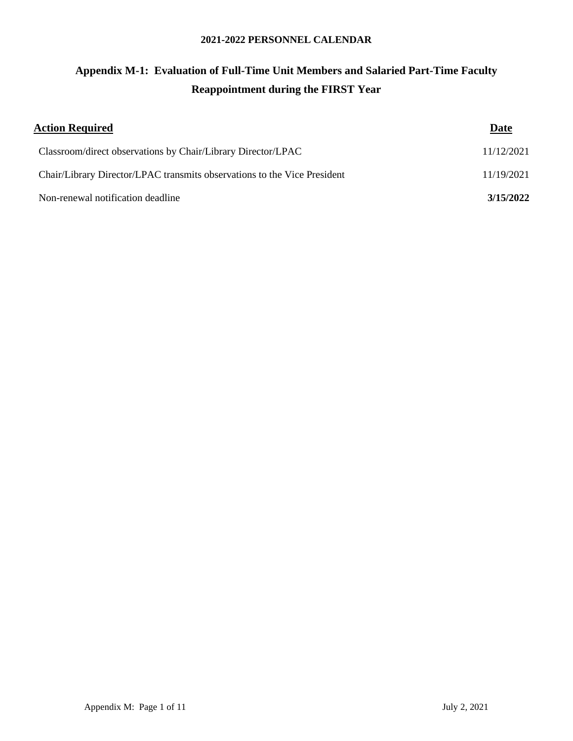## **Appendix M-1: Evaluation of Full-Time Unit Members and Salaried Part-Time Faculty Reappointment during the FIRST Year**

| <b>Action Required</b>                                                   | <b>Date</b> |
|--------------------------------------------------------------------------|-------------|
| Classroom/direct observations by Chair/Library Director/LPAC             | 11/12/2021  |
| Chair/Library Director/LPAC transmits observations to the Vice President | 11/19/2021  |
| Non-renewal notification deadline                                        | 3/15/2022   |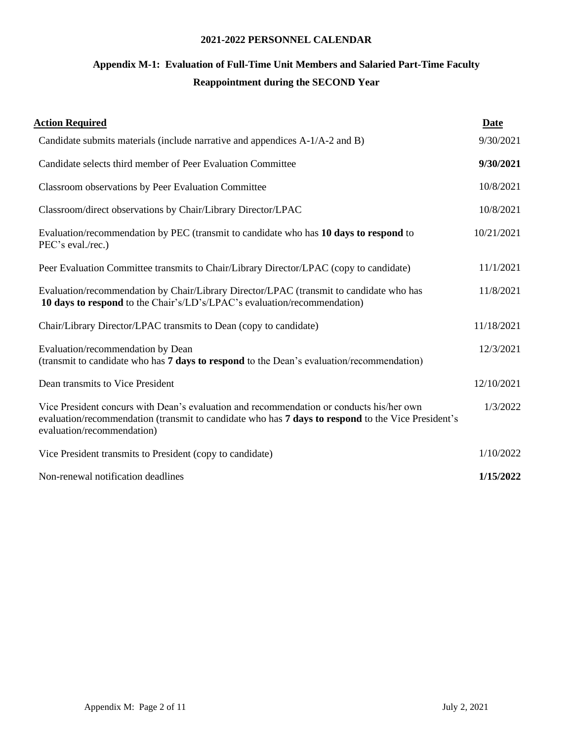## **Appendix M-1: Evaluation of Full-Time Unit Members and Salaried Part-Time Faculty Reappointment during the SECOND Year**

| <b>Action Required</b>                                                                                                                                                                                                       | Date       |
|------------------------------------------------------------------------------------------------------------------------------------------------------------------------------------------------------------------------------|------------|
| Candidate submits materials (include narrative and appendices A-1/A-2 and B)                                                                                                                                                 | 9/30/2021  |
| Candidate selects third member of Peer Evaluation Committee                                                                                                                                                                  | 9/30/2021  |
| Classroom observations by Peer Evaluation Committee                                                                                                                                                                          | 10/8/2021  |
| Classroom/direct observations by Chair/Library Director/LPAC                                                                                                                                                                 | 10/8/2021  |
| Evaluation/recommendation by PEC (transmit to candidate who has 10 days to respond to<br>PEC's eval./rec.)                                                                                                                   | 10/21/2021 |
| Peer Evaluation Committee transmits to Chair/Library Director/LPAC (copy to candidate)                                                                                                                                       | 11/1/2021  |
| Evaluation/recommendation by Chair/Library Director/LPAC (transmit to candidate who has<br>10 days to respond to the Chair's/LD's/LPAC's evaluation/recommendation)                                                          | 11/8/2021  |
| Chair/Library Director/LPAC transmits to Dean (copy to candidate)                                                                                                                                                            | 11/18/2021 |
| Evaluation/recommendation by Dean<br>(transmit to candidate who has 7 days to respond to the Dean's evaluation/recommendation)                                                                                               | 12/3/2021  |
| Dean transmits to Vice President                                                                                                                                                                                             | 12/10/2021 |
| Vice President concurs with Dean's evaluation and recommendation or conducts his/her own<br>evaluation/recommendation (transmit to candidate who has 7 days to respond to the Vice President's<br>evaluation/recommendation) | 1/3/2022   |
| Vice President transmits to President (copy to candidate)                                                                                                                                                                    | 1/10/2022  |
| Non-renewal notification deadlines                                                                                                                                                                                           | 1/15/2022  |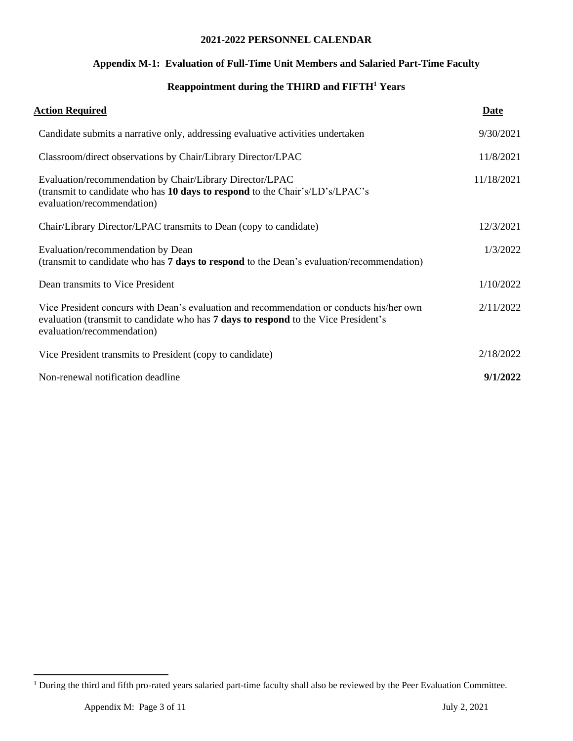#### **Appendix M-1: Evaluation of Full-Time Unit Members and Salaried Part-Time Faculty**

#### **Reappointment during the THIRD and FIFTH<sup>1</sup> Years**

| <u>Action Required</u>                                                                                                                                                                                               | Date       |
|----------------------------------------------------------------------------------------------------------------------------------------------------------------------------------------------------------------------|------------|
| Candidate submits a narrative only, addressing evaluative activities undertaken                                                                                                                                      | 9/30/2021  |
| Classroom/direct observations by Chair/Library Director/LPAC                                                                                                                                                         | 11/8/2021  |
| Evaluation/recommendation by Chair/Library Director/LPAC<br>(transmit to candidate who has 10 days to respond to the Chair's/LD's/LPAC's<br>evaluation/recommendation)                                               | 11/18/2021 |
| Chair/Library Director/LPAC transmits to Dean (copy to candidate)                                                                                                                                                    | 12/3/2021  |
| Evaluation/recommendation by Dean<br>(transmit to candidate who has 7 days to respond to the Dean's evaluation/recommendation)                                                                                       | 1/3/2022   |
| Dean transmits to Vice President                                                                                                                                                                                     | 1/10/2022  |
| Vice President concurs with Dean's evaluation and recommendation or conducts his/her own<br>evaluation (transmit to candidate who has <b>7 days to respond</b> to the Vice President's<br>evaluation/recommendation) | 2/11/2022  |
| Vice President transmits to President (copy to candidate)                                                                                                                                                            | 2/18/2022  |
| Non-renewal notification deadline                                                                                                                                                                                    | 9/1/2022   |

<sup>&</sup>lt;sup>1</sup> During the third and fifth pro-rated years salaried part-time faculty shall also be reviewed by the Peer Evaluation Committee.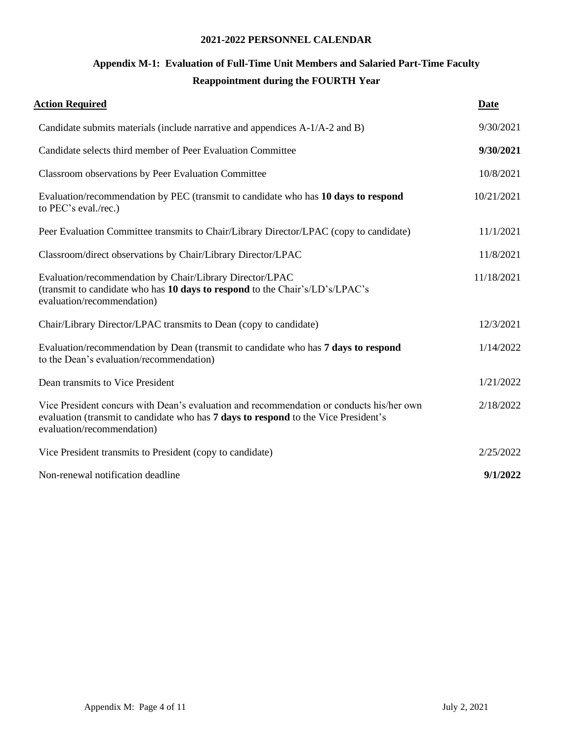## **Appendix M-1: Evaluation of Full-Time Unit Members and Salaried Part-Time Faculty Reappointment during the FOURTH Year**

| <b>Action Required</b>                                                                                                                                                                                        | <b>Date</b> |
|---------------------------------------------------------------------------------------------------------------------------------------------------------------------------------------------------------------|-------------|
| Candidate submits materials (include narrative and appendices A-1/A-2 and B)                                                                                                                                  | 9/30/2021   |
| Candidate selects third member of Peer Evaluation Committee                                                                                                                                                   | 9/30/2021   |
| Classroom observations by Peer Evaluation Committee                                                                                                                                                           | 10/8/2021   |
| Evaluation/recommendation by PEC (transmit to candidate who has 10 days to respond<br>to PEC's eval./rec.)                                                                                                    | 10/21/2021  |
| Peer Evaluation Committee transmits to Chair/Library Director/LPAC (copy to candidate)                                                                                                                        | 11/1/2021   |
| Classroom/direct observations by Chair/Library Director/LPAC                                                                                                                                                  | 11/8/2021   |
| Evaluation/recommendation by Chair/Library Director/LPAC<br>(transmit to candidate who has 10 days to respond to the Chair's/LD's/LPAC's<br>evaluation/recommendation)                                        | 11/18/2021  |
| Chair/Library Director/LPAC transmits to Dean (copy to candidate)                                                                                                                                             | 12/3/2021   |
| Evaluation/recommendation by Dean (transmit to candidate who has 7 days to respond<br>to the Dean's evaluation/recommendation)                                                                                | 1/14/2022   |
| Dean transmits to Vice President                                                                                                                                                                              | 1/21/2022   |
| Vice President concurs with Dean's evaluation and recommendation or conducts his/her own<br>evaluation (transmit to candidate who has 7 days to respond to the Vice President's<br>evaluation/recommendation) | 2/18/2022   |
| Vice President transmits to President (copy to candidate)                                                                                                                                                     | 2/25/2022   |
| Non-renewal notification deadline                                                                                                                                                                             | 9/1/2022    |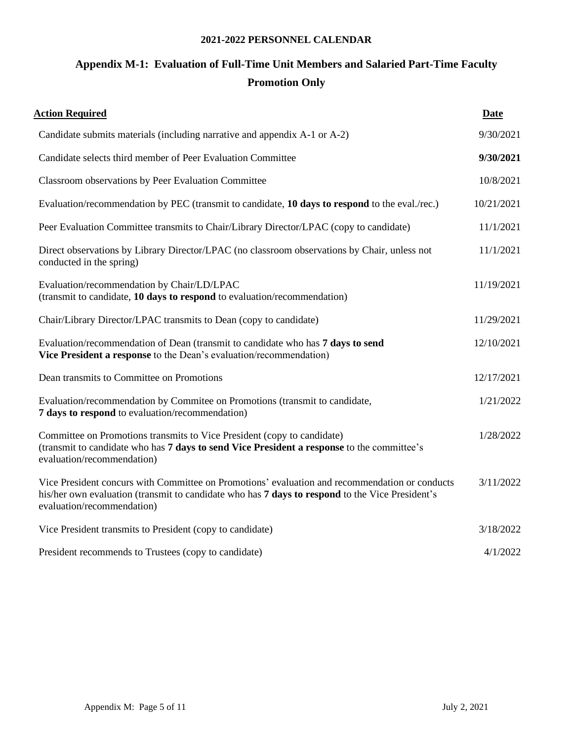## **Appendix M-1: Evaluation of Full-Time Unit Members and Salaried Part-Time Faculty Promotion Only**

| <b>Action Required</b>                                                                                                                                                                                                          | Date       |
|---------------------------------------------------------------------------------------------------------------------------------------------------------------------------------------------------------------------------------|------------|
| Candidate submits materials (including narrative and appendix A-1 or A-2)                                                                                                                                                       | 9/30/2021  |
| Candidate selects third member of Peer Evaluation Committee                                                                                                                                                                     | 9/30/2021  |
| Classroom observations by Peer Evaluation Committee                                                                                                                                                                             | 10/8/2021  |
| Evaluation/recommendation by PEC (transmit to candidate, 10 days to respond to the eval./rec.)                                                                                                                                  | 10/21/2021 |
| Peer Evaluation Committee transmits to Chair/Library Director/LPAC (copy to candidate)                                                                                                                                          | 11/1/2021  |
| Direct observations by Library Director/LPAC (no classroom observations by Chair, unless not<br>conducted in the spring)                                                                                                        | 11/1/2021  |
| Evaluation/recommendation by Chair/LD/LPAC<br>(transmit to candidate, 10 days to respond to evaluation/recommendation)                                                                                                          | 11/19/2021 |
| Chair/Library Director/LPAC transmits to Dean (copy to candidate)                                                                                                                                                               | 11/29/2021 |
| Evaluation/recommendation of Dean (transmit to candidate who has 7 days to send<br>Vice President a response to the Dean's evaluation/recommendation)                                                                           | 12/10/2021 |
| Dean transmits to Committee on Promotions                                                                                                                                                                                       | 12/17/2021 |
| Evaluation/recommendation by Commitee on Promotions (transmit to candidate,<br>7 days to respond to evaluation/recommendation)                                                                                                  | 1/21/2022  |
| Committee on Promotions transmits to Vice President (copy to candidate)<br>(transmit to candidate who has 7 days to send Vice President a response to the committee's<br>evaluation/recommendation)                             | 1/28/2022  |
| Vice President concurs with Committee on Promotions' evaluation and recommendation or conducts<br>his/her own evaluation (transmit to candidate who has 7 days to respond to the Vice President's<br>evaluation/recommendation) | 3/11/2022  |
| Vice President transmits to President (copy to candidate)                                                                                                                                                                       | 3/18/2022  |
| President recommends to Trustees (copy to candidate)                                                                                                                                                                            | 4/1/2022   |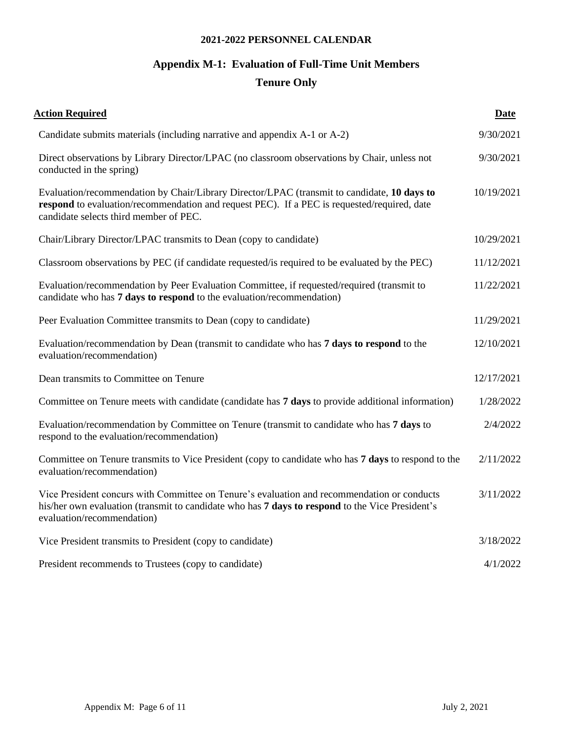## **Appendix M-1: Evaluation of Full-Time Unit Members Tenure Only**

| <b>Action Required</b>                                                                                                                                                                                                               | Date       |
|--------------------------------------------------------------------------------------------------------------------------------------------------------------------------------------------------------------------------------------|------------|
| Candidate submits materials (including narrative and appendix A-1 or A-2)                                                                                                                                                            | 9/30/2021  |
| Direct observations by Library Director/LPAC (no classroom observations by Chair, unless not<br>conducted in the spring)                                                                                                             | 9/30/2021  |
| Evaluation/recommendation by Chair/Library Director/LPAC (transmit to candidate, 10 days to<br>respond to evaluation/recommendation and request PEC). If a PEC is requested/required, date<br>candidate selects third member of PEC. | 10/19/2021 |
| Chair/Library Director/LPAC transmits to Dean (copy to candidate)                                                                                                                                                                    | 10/29/2021 |
| Classroom observations by PEC (if candidate requested/is required to be evaluated by the PEC)                                                                                                                                        | 11/12/2021 |
| Evaluation/recommendation by Peer Evaluation Committee, if requested/required (transmit to<br>candidate who has 7 days to respond to the evaluation/recommendation)                                                                  | 11/22/2021 |
| Peer Evaluation Committee transmits to Dean (copy to candidate)                                                                                                                                                                      | 11/29/2021 |
| Evaluation/recommendation by Dean (transmit to candidate who has 7 days to respond to the<br>evaluation/recommendation)                                                                                                              | 12/10/2021 |
| Dean transmits to Committee on Tenure                                                                                                                                                                                                | 12/17/2021 |
| Committee on Tenure meets with candidate (candidate has 7 days to provide additional information)                                                                                                                                    | 1/28/2022  |
| Evaluation/recommendation by Committee on Tenure (transmit to candidate who has 7 days to<br>respond to the evaluation/recommendation)                                                                                               | 2/4/2022   |
| Committee on Tenure transmits to Vice President (copy to candidate who has 7 days to respond to the<br>evaluation/recommendation)                                                                                                    | 2/11/2022  |
| Vice President concurs with Committee on Tenure's evaluation and recommendation or conducts<br>his/her own evaluation (transmit to candidate who has 7 days to respond to the Vice President's<br>evaluation/recommendation)         | 3/11/2022  |
| Vice President transmits to President (copy to candidate)                                                                                                                                                                            | 3/18/2022  |
| President recommends to Trustees (copy to candidate)                                                                                                                                                                                 | 4/1/2022   |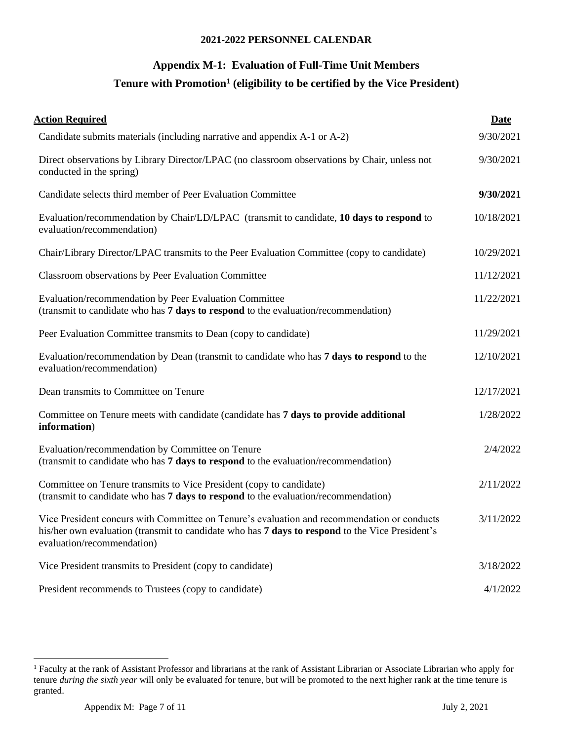## **Appendix M-1: Evaluation of Full-Time Unit Members**

#### **Tenure with Promotion<sup>1</sup> (eligibility to be certified by the Vice President)**

| <b>Action Required</b>                                                                                                                                                                                                       | Date       |
|------------------------------------------------------------------------------------------------------------------------------------------------------------------------------------------------------------------------------|------------|
| Candidate submits materials (including narrative and appendix A-1 or A-2)                                                                                                                                                    | 9/30/2021  |
| Direct observations by Library Director/LPAC (no classroom observations by Chair, unless not<br>conducted in the spring)                                                                                                     | 9/30/2021  |
| Candidate selects third member of Peer Evaluation Committee                                                                                                                                                                  | 9/30/2021  |
| Evaluation/recommendation by Chair/LD/LPAC (transmit to candidate, 10 days to respond to<br>evaluation/recommendation)                                                                                                       | 10/18/2021 |
| Chair/Library Director/LPAC transmits to the Peer Evaluation Committee (copy to candidate)                                                                                                                                   | 10/29/2021 |
| Classroom observations by Peer Evaluation Committee                                                                                                                                                                          | 11/12/2021 |
| Evaluation/recommendation by Peer Evaluation Committee<br>(transmit to candidate who has 7 days to respond to the evaluation/recommendation)                                                                                 | 11/22/2021 |
| Peer Evaluation Committee transmits to Dean (copy to candidate)                                                                                                                                                              | 11/29/2021 |
| Evaluation/recommendation by Dean (transmit to candidate who has 7 days to respond to the<br>evaluation/recommendation)                                                                                                      | 12/10/2021 |
| Dean transmits to Committee on Tenure                                                                                                                                                                                        | 12/17/2021 |
| Committee on Tenure meets with candidate (candidate has 7 days to provide additional<br>information)                                                                                                                         | 1/28/2022  |
| Evaluation/recommendation by Committee on Tenure<br>(transmit to candidate who has 7 days to respond to the evaluation/recommendation)                                                                                       | 2/4/2022   |
| Committee on Tenure transmits to Vice President (copy to candidate)<br>(transmit to candidate who has 7 days to respond to the evaluation/recommendation)                                                                    | 2/11/2022  |
| Vice President concurs with Committee on Tenure's evaluation and recommendation or conducts<br>his/her own evaluation (transmit to candidate who has 7 days to respond to the Vice President's<br>evaluation/recommendation) | 3/11/2022  |
| Vice President transmits to President (copy to candidate)                                                                                                                                                                    | 3/18/2022  |
| President recommends to Trustees (copy to candidate)                                                                                                                                                                         | 4/1/2022   |

<sup>&</sup>lt;sup>1</sup> Faculty at the rank of Assistant Professor and librarians at the rank of Assistant Librarian or Associate Librarian who apply for tenure *during the sixth year* will only be evaluated for tenure, but will be promoted to the next higher rank at the time tenure is granted.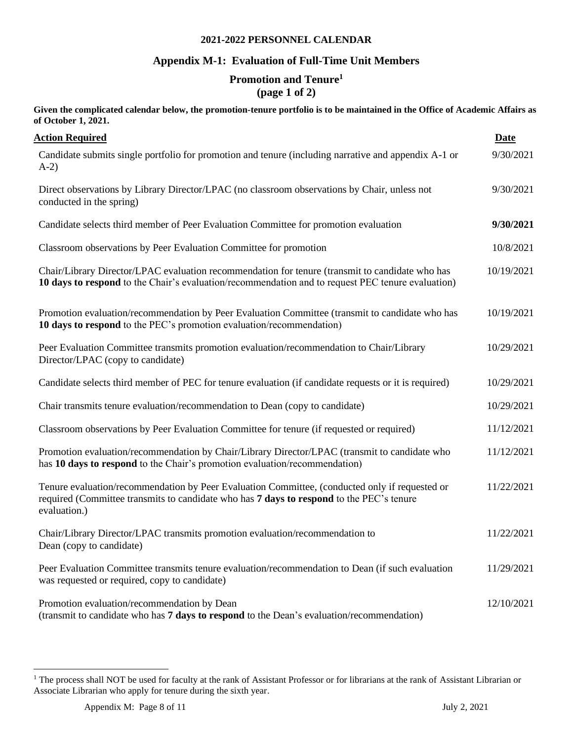#### **Appendix M-1: Evaluation of Full-Time Unit Members**

## **Promotion and Tenure 1**

**(page 1 of 2)**

**Given the complicated calendar below, the promotion-tenure portfolio is to be maintained in the Office of Academic Affairs as of October 1, 2021.**

| <b>Action Required</b>                                                                                                                                                                                     | <b>Date</b> |
|------------------------------------------------------------------------------------------------------------------------------------------------------------------------------------------------------------|-------------|
| Candidate submits single portfolio for promotion and tenure (including narrative and appendix A-1 or<br>$A-2)$                                                                                             | 9/30/2021   |
| Direct observations by Library Director/LPAC (no classroom observations by Chair, unless not<br>conducted in the spring)                                                                                   | 9/30/2021   |
| Candidate selects third member of Peer Evaluation Committee for promotion evaluation                                                                                                                       | 9/30/2021   |
| Classroom observations by Peer Evaluation Committee for promotion                                                                                                                                          | 10/8/2021   |
| Chair/Library Director/LPAC evaluation recommendation for tenure (transmit to candidate who has<br>10 days to respond to the Chair's evaluation/recommendation and to request PEC tenure evaluation)       | 10/19/2021  |
| Promotion evaluation/recommendation by Peer Evaluation Committee (transmit to candidate who has<br>10 days to respond to the PEC's promotion evaluation/recommendation)                                    | 10/19/2021  |
| Peer Evaluation Committee transmits promotion evaluation/recommendation to Chair/Library<br>Director/LPAC (copy to candidate)                                                                              | 10/29/2021  |
| Candidate selects third member of PEC for tenure evaluation (if candidate requests or it is required)                                                                                                      | 10/29/2021  |
| Chair transmits tenure evaluation/recommendation to Dean (copy to candidate)                                                                                                                               | 10/29/2021  |
| Classroom observations by Peer Evaluation Committee for tenure (if requested or required)                                                                                                                  | 11/12/2021  |
| Promotion evaluation/recommendation by Chair/Library Director/LPAC (transmit to candidate who<br>has 10 days to respond to the Chair's promotion evaluation/recommendation)                                | 11/12/2021  |
| Tenure evaluation/recommendation by Peer Evaluation Committee, (conducted only if requested or<br>required (Committee transmits to candidate who has 7 days to respond to the PEC's tenure<br>evaluation.) | 11/22/2021  |
| Chair/Library Director/LPAC transmits promotion evaluation/recommendation to<br>Dean (copy to candidate)                                                                                                   | 11/22/2021  |
| Peer Evaluation Committee transmits tenure evaluation/recommendation to Dean (if such evaluation<br>was requested or required, copy to candidate)                                                          | 11/29/2021  |
| Promotion evaluation/recommendation by Dean<br>(transmit to candidate who has 7 days to respond to the Dean's evaluation/recommendation)                                                                   | 12/10/2021  |

<sup>&</sup>lt;sup>1</sup> The process shall NOT be used for faculty at the rank of Assistant Professor or for librarians at the rank of Assistant Librarian or Associate Librarian who apply for tenure during the sixth year.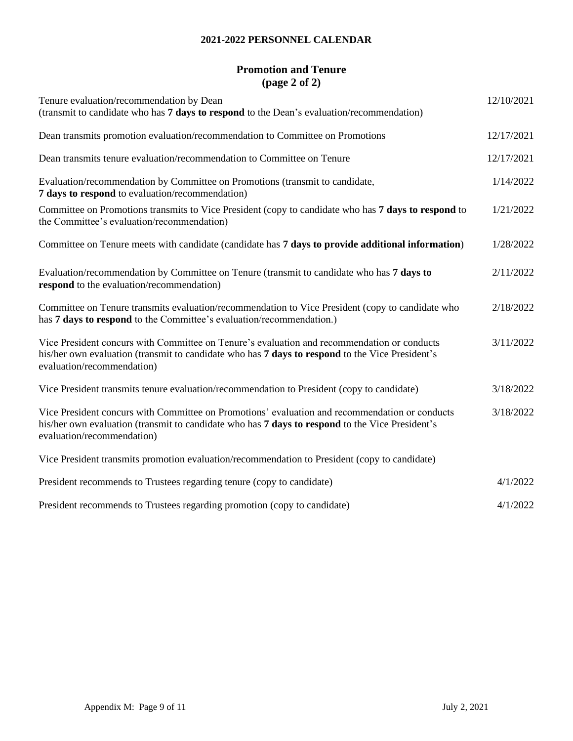#### **Promotion and Tenure (page 2 of 2)**

| Tenure evaluation/recommendation by Dean                                                                                                                                                                                        | 12/10/2021 |
|---------------------------------------------------------------------------------------------------------------------------------------------------------------------------------------------------------------------------------|------------|
| (transmit to candidate who has 7 days to respond to the Dean's evaluation/recommendation)                                                                                                                                       |            |
| Dean transmits promotion evaluation/recommendation to Committee on Promotions                                                                                                                                                   | 12/17/2021 |
| Dean transmits tenure evaluation/recommendation to Committee on Tenure                                                                                                                                                          | 12/17/2021 |
| Evaluation/recommendation by Committee on Promotions (transmit to candidate,<br>7 days to respond to evaluation/recommendation)                                                                                                 | 1/14/2022  |
| Committee on Promotions transmits to Vice President (copy to candidate who has 7 days to respond to<br>the Committee's evaluation/recommendation)                                                                               | 1/21/2022  |
| Committee on Tenure meets with candidate (candidate has 7 days to provide additional information)                                                                                                                               | 1/28/2022  |
| Evaluation/recommendation by Committee on Tenure (transmit to candidate who has 7 days to<br>respond to the evaluation/recommendation)                                                                                          | 2/11/2022  |
| Committee on Tenure transmits evaluation/recommendation to Vice President (copy to candidate who<br>has 7 days to respond to the Committee's evaluation/recommendation.)                                                        | 2/18/2022  |
| Vice President concurs with Committee on Tenure's evaluation and recommendation or conducts<br>his/her own evaluation (transmit to candidate who has 7 days to respond to the Vice President's<br>evaluation/recommendation)    | 3/11/2022  |
| Vice President transmits tenure evaluation/recommendation to President (copy to candidate)                                                                                                                                      | 3/18/2022  |
| Vice President concurs with Committee on Promotions' evaluation and recommendation or conducts<br>his/her own evaluation (transmit to candidate who has 7 days to respond to the Vice President's<br>evaluation/recommendation) | 3/18/2022  |
| Vice President transmits promotion evaluation/recommendation to President (copy to candidate)                                                                                                                                   |            |
| President recommends to Trustees regarding tenure (copy to candidate)                                                                                                                                                           | 4/1/2022   |
| President recommends to Trustees regarding promotion (copy to candidate)                                                                                                                                                        | 4/1/2022   |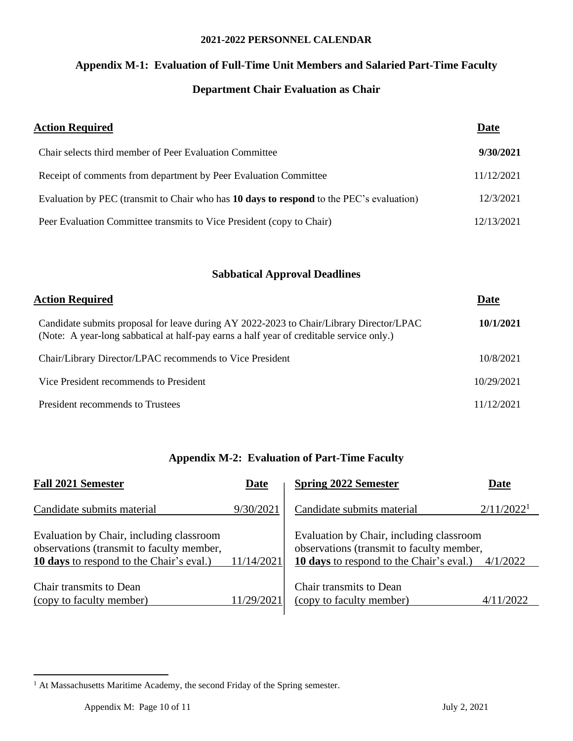# **Appendix M-1: Evaluation of Full-Time Unit Members and Salaried Part-Time Faculty**

## **Department Chair Evaluation as Chair**

| <b>Action Required</b>                                                                   | Date       |
|------------------------------------------------------------------------------------------|------------|
| Chair selects third member of Peer Evaluation Committee                                  | 9/30/2021  |
| Receipt of comments from department by Peer Evaluation Committee                         | 11/12/2021 |
| Evaluation by PEC (transmit to Chair who has 10 days to respond to the PEC's evaluation) | 12/3/2021  |
| Peer Evaluation Committee transmits to Vice President (copy to Chair)                    | 12/13/2021 |

#### **Sabbatical Approval Deadlines**

| <b>Action Required</b>                                                                                                                                                              | <b>Date</b> |
|-------------------------------------------------------------------------------------------------------------------------------------------------------------------------------------|-------------|
| Candidate submits proposal for leave during AY 2022-2023 to Chair/Library Director/LPAC<br>(Note: A year-long sabbatical at half-pay earns a half year of creditable service only.) | 10/1/2021   |
| Chair/Library Director/LPAC recommends to Vice President                                                                                                                            | 10/8/2021   |
| Vice President recommends to President                                                                                                                                              | 10/29/2021  |
| President recommends to Trustees                                                                                                                                                    | 11/12/2021  |

#### **Appendix M-2: Evaluation of Part-Time Faculty**

| <b>Fall 2021 Semester</b>                                                                                                         | Date       | <b>Spring 2022 Semester</b>                                                                                                       | Date                   |
|-----------------------------------------------------------------------------------------------------------------------------------|------------|-----------------------------------------------------------------------------------------------------------------------------------|------------------------|
| Candidate submits material                                                                                                        | 9/30/2021  | Candidate submits material                                                                                                        | 2/11/2022 <sup>1</sup> |
| Evaluation by Chair, including classroom<br>observations (transmit to faculty member,<br>10 days to respond to the Chair's eval.) | 11/14/2021 | Evaluation by Chair, including classroom<br>observations (transmit to faculty member,<br>10 days to respond to the Chair's eval.) | 4/1/2022               |
| Chair transmits to Dean<br>(copy to faculty member)                                                                               | 11/29/2021 | Chair transmits to Dean<br>(copy to faculty member)                                                                               | 4/11/2022              |

<sup>&</sup>lt;sup>1</sup> At Massachusetts Maritime Academy, the second Friday of the Spring semester.